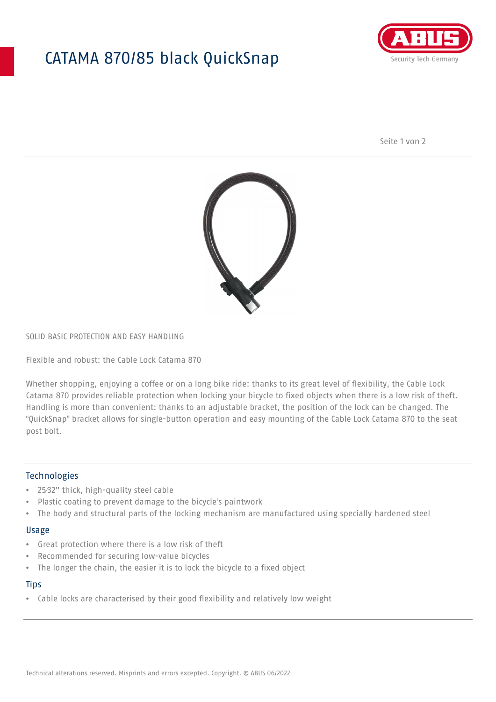# CATAMA 870/85 black QuickSnap



Seite 1 von 2



# SOLID BASIC PROTECTION AND EASY HANDLING

Flexible and robust: the Cable Lock Catama 870

Whether shopping, enjoying a coffee or on a long bike ride: thanks to its great level of flexibility, the Cable Lock Catama 870 provides reliable protection when locking your bicycle to fixed objects when there is a low risk of theft. Handling is more than convenient: thanks to an adjustable bracket, the position of the lock can be changed. The "QuickSnap" bracket allows for single-button operation and easy mounting of the Cable Lock Catama 870 to the seat post bolt.

## Technologies

- 25⁄32" thick, high-quality steel cable
- Plastic coating to prevent damage to the bicycle's paintwork
- The body and structural parts of the locking mechanism are manufactured using specially hardened steel

#### Usage

- Great protection where there is a low risk of theft
- Recommended for securing low-value bicycles
- The longer the chain, the easier it is to lock the bicycle to a fixed object

### **Tips**

• Cable locks are characterised by their good flexibility and relatively low weight